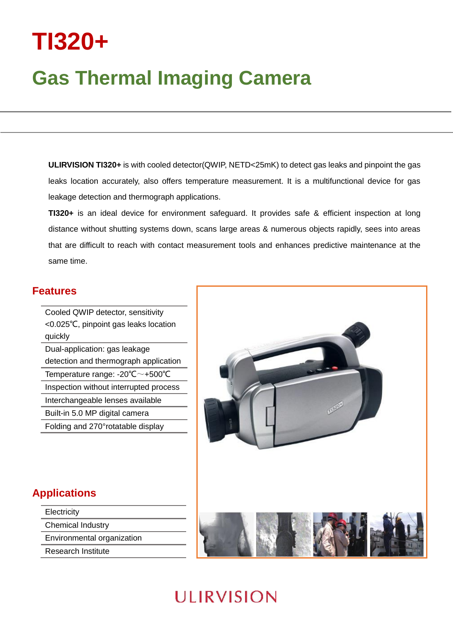# **TI320+**

## **Gas Thermal Imaging Camera**

**ULIRVISION TI320+** is with cooled detector(QWIP, NETD<25mK) to detect gas leaks and pinpoint the gas leaks location accurately, also offers temperature measurement. It is a multifunctional device for gas leakage detection and thermograph applications.

**TI320+** is an ideal device for environment safeguard. It provides safe & efficient inspection at long distance without shutting systems down, scans large areas & numerous objects rapidly, sees into areas that are difficult to reach with contact measurement tools and enhances predictive maintenance at the same time.

#### **Features**

Cooled QWIP detector, sensitivity <0.025℃, pinpoint gas leaks location quickly Dual-application: gas leakage detection and thermograph application Temperature range: -20℃~+500℃ Inspection without interrupted process Interchangeable lenses available Built-in 5.0 MP digital camera Folding and 270°rotatable display



#### **Applications**

**Electricity** Chemical Industry

Environmental organization

Research Institute

### **ULIRVISION**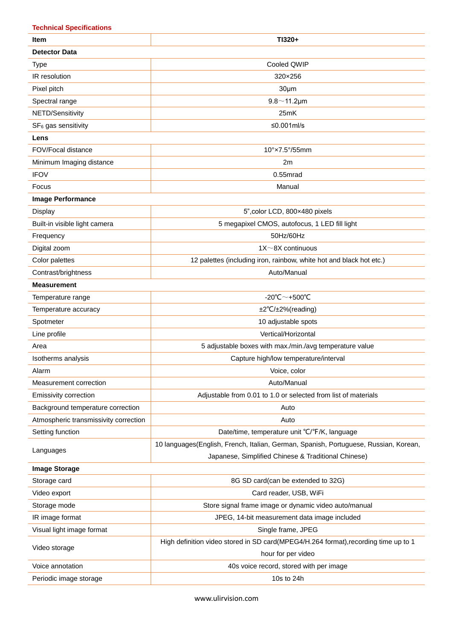| <b>Technical Specifications</b>       |                                                                                      |  |
|---------------------------------------|--------------------------------------------------------------------------------------|--|
| <b>Item</b>                           | TI320+                                                                               |  |
| <b>Detector Data</b>                  |                                                                                      |  |
| <b>Type</b>                           | Cooled QWIP                                                                          |  |
| IR resolution                         | 320×256                                                                              |  |
| Pixel pitch                           | 30 <sub>µ</sub> m                                                                    |  |
| Spectral range                        | $9.8 - 11.2 \mu m$                                                                   |  |
| NETD/Sensitivity                      | 25mK                                                                                 |  |
| SF <sub>6</sub> gas sensitivity       | $≤0.001ml/s$                                                                         |  |
| Lens                                  |                                                                                      |  |
| FOV/Focal distance                    | $10^\circ \times 7.5^\circ / 55$ mm                                                  |  |
| Minimum Imaging distance              | 2m                                                                                   |  |
| <b>IFOV</b>                           | $0.55$ mrad                                                                          |  |
| Focus                                 | Manual                                                                               |  |
| <b>Image Performance</b>              |                                                                                      |  |
| Display                               | 5", color LCD, 800×480 pixels                                                        |  |
| Built-in visible light camera         | 5 megapixel CMOS, autofocus, 1 LED fill light                                        |  |
| Frequency                             | 50Hz/60Hz                                                                            |  |
| Digital zoom                          | $1X \sim 8X$ continuous                                                              |  |
| Color palettes                        | 12 palettes (including iron, rainbow, white hot and black hot etc.)                  |  |
| Contrast/brightness                   | Auto/Manual                                                                          |  |
| <b>Measurement</b>                    |                                                                                      |  |
| Temperature range                     | -20°C $\sim$ +500°C                                                                  |  |
| Temperature accuracy                  | ±2°C/±2%(reading)                                                                    |  |
| Spotmeter                             | 10 adjustable spots                                                                  |  |
| Line profile                          | Vertical/Horizontal                                                                  |  |
| Area                                  | 5 adjustable boxes with max./min./avg temperature value                              |  |
| Isotherms analysis                    | Capture high/low temperature/interval                                                |  |
| Alarm                                 | Voice, color                                                                         |  |
| Measurement correction                | Auto/Manual                                                                          |  |
| Emissivity correction                 | Adjustable from 0.01 to 1.0 or selected from list of materials                       |  |
| Background temperature correction     | Auto                                                                                 |  |
| Atmospheric transmissivity correction | Auto                                                                                 |  |
| Setting function                      | Date/time, temperature unit °C/°F/K, language                                        |  |
| Languages                             | 10 languages(English, French, Italian, German, Spanish, Portuguese, Russian, Korean, |  |
|                                       | Japanese, Simplified Chinese & Traditional Chinese)                                  |  |
| <b>Image Storage</b>                  |                                                                                      |  |
| Storage card                          | 8G SD card(can be extended to 32G)                                                   |  |
| Video export                          | Card reader, USB, WiFi                                                               |  |
| Storage mode                          | Store signal frame image or dynamic video auto/manual                                |  |
| IR image format                       | JPEG, 14-bit measurement data image included                                         |  |
| Visual light image format             | Single frame, JPEG                                                                   |  |
| Video storage                         | High definition video stored in SD card(MPEG4/H.264 format), recording time up to 1  |  |
|                                       | hour for per video                                                                   |  |
| Voice annotation                      | 40s voice record, stored with per image                                              |  |
| Periodic image storage                | 10s to 24h                                                                           |  |

www.ulirvision.com